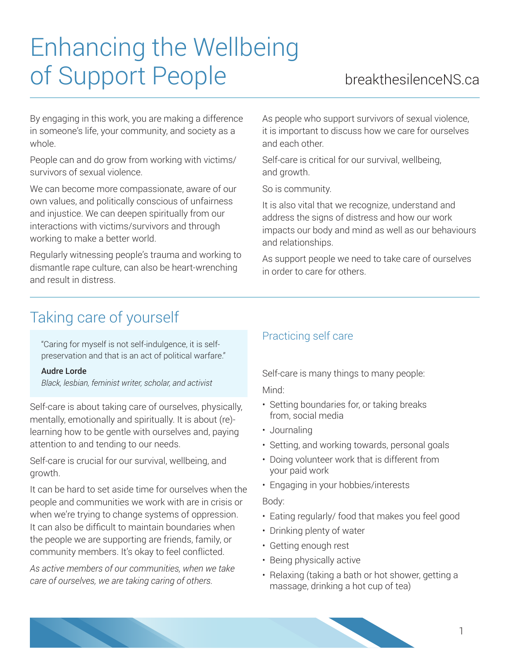# Enhancing the Wellbeing of Support People breakthesilenceNS.ca

By engaging in this work, you are making a difference in someone's life, your community, and society as a whole.

People can and do grow from working with victims/ survivors of sexual violence.

We can become more compassionate, aware of our own values, and politically conscious of unfairness and injustice. We can deepen spiritually from our interactions with victims/survivors and through working to make a better world.

Regularly witnessing people's trauma and working to dismantle rape culture, can also be heart-wrenching and result in distress.

As people who support survivors of sexual violence, it is important to discuss how we care for ourselves and each other.

Self-care is critical for our survival, wellbeing, and growth.

So is community.

It is also vital that we recognize, understand and address the signs of distress and how our work impacts our body and mind as well as our behaviours and relationships.

As support people we need to take care of ourselves in order to care for others.

# Taking care of yourself

"Caring for myself is not self-indulgence, it is selfpreservation and that is an act of political warfare."

#### Audre Lorde

*Black, lesbian, feminist writer, scholar, and activist*

Self-care is about taking care of ourselves, physically, mentally, emotionally and spiritually. It is about (re) learning how to be gentle with ourselves and, paying attention to and tending to our needs.

Self-care is crucial for our survival, wellbeing, and growth.

It can be hard to set aside time for ourselves when the people and communities we work with are in crisis or when we're trying to change systems of oppression. It can also be difficult to maintain boundaries when the people we are supporting are friends, family, or community members. It's okay to feel conflicted.

*As active members of our communities, when we take care of ourselves, we are taking caring of others.*

### Practicing self care

Self-care is many things to many people:

Mind:

- Setting boundaries for, or taking breaks from, social media
- Journaling
- Setting, and working towards, personal goals
- Doing volunteer work that is different from your paid work
- Engaging in your hobbies/interests

#### Body:

- Eating regularly/ food that makes you feel good
- Drinking plenty of water
- Getting enough rest
- Being physically active
- Relaxing (taking a bath or hot shower, getting a massage, drinking a hot cup of tea)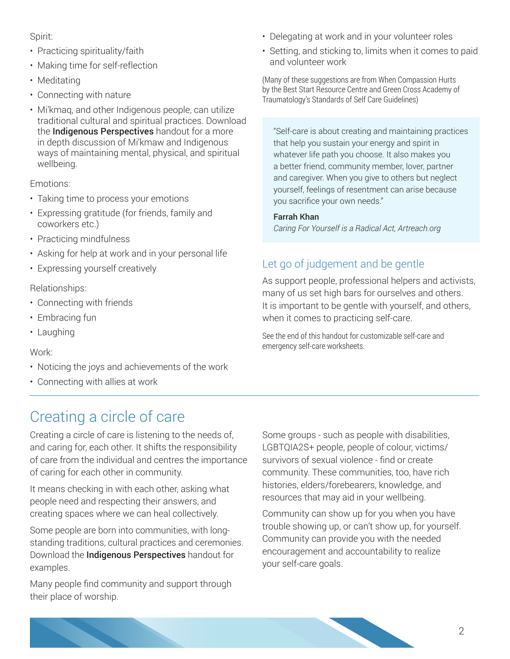#### Spirit:

- Practicing spirituality/faith
- Making time for self-reflection
- Meditating
- Connecting with nature
- Mi'kmaq, and other Indigenous people, can utilize traditional cultural and spiritual practices. Download the **Indigenous Perspectives** handout for a more in depth discussion of Mi'kmaw and Indigenous ways of maintaining mental, physical, and spiritual wellbeing.

#### Emotions:

- Taking time to process your emotions
- Expressing gratitude (for friends, family and coworkers etc.)
- Practicing mindfulness
- Asking for help at work and in your personal life
- Expressing yourself creatively

#### Relationships:

- Connecting with friends
- Embracing fun
- Laughing

#### Work:

- Noticing the joys and achievements of the work
- Connecting with allies at work

# Creating a circle of care

Creating a circle of care is listening to the needs of, and caring for, each other. It shifts the responsibility of care from the individual and centres the importance of caring for each other in community.

It means checking in with each other, asking what people need and respecting their answers, and creating spaces where we can heal collectively.

Some people are born into communities, with longstanding traditions, cultural practices and ceremonies. Download the **Indigenous Perspectives** handout for examples.

Many people find community and support through their place of worship.

- Delegating at work and in your volunteer roles
- Setting, and sticking to, limits when it comes to paid and volunteer work

(Many of these suggestions are from When Compassion Hurts by the Best Start Resource Centre and Green Cross Academy of Traumatology's Standards of Self Care Guidelines)

"Self-care is about creating and maintaining practices that help you sustain your energy and spirit in whatever life path you choose. It also makes you a better friend, community member, lover, partner and caregiver. When you give to others but neglect yourself, feelings of resentment can arise because you sacrifice your own needs."

#### Farrah Khan

*Caring For Yourself is a Radical Act, Artreach.org*

### Let go of judgement and be gentle

As support people, professional helpers and activists, many of us set high bars for ourselves and others. It is important to be gentle with yourself, and others, when it comes to practicing self-care.

See the end of this handout for customizable self-care and emergency self-care worksheets.

Some groups - such as people with disabilities, LGBTQIA2S+ people, people of colour, victims/ survivors of sexual violence - find or create community. These communities, too, have rich histories, elders/forebearers, knowledge, and resources that may aid in your wellbeing.

Community can show up for you when you have trouble showing up, or can't show up, for yourself. Community can provide you with the needed encouragement and accountability to realize your self-care goals.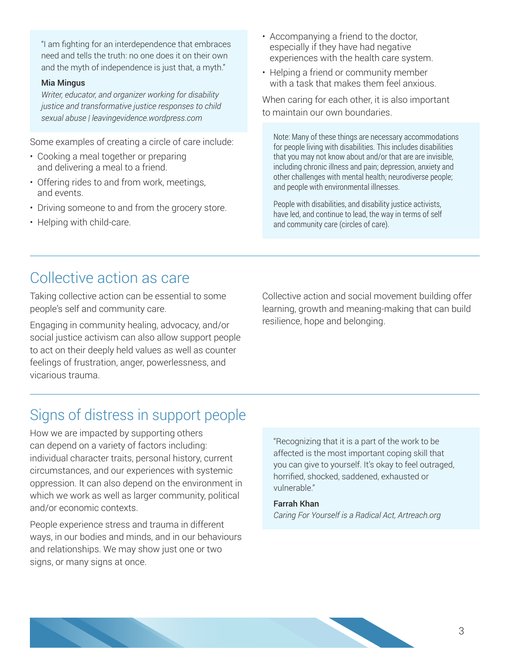"I am fighting for an interdependence that embraces need and tells the truth: no one does it on their own and the myth of independence is just that, a myth."

#### Mia Mingus

*Writer, educator, and organizer working for disability justice and transformative justice responses to child sexual abuse | leavingevidence.wordpress.com*

Some examples of creating a circle of care include:

- Cooking a meal together or preparing and delivering a meal to a friend.
- Offering rides to and from work, meetings, and events.
- Driving someone to and from the grocery store.
- Helping with child-care.
- Accompanying a friend to the doctor, especially if they have had negative experiences with the health care system.
- Helping a friend or community member with a task that makes them feel anxious.

When caring for each other, it is also important to maintain our own boundaries.

Note: Many of these things are necessary accommodations for people living with disabilities. This includes disabilities that you may not know about and/or that are are invisible, including chronic illness and pain; depression, anxiety and other challenges with mental health; neurodiverse people; and people with environmental illnesses.

People with disabilities, and disability justice activists, have led, and continue to lead, the way in terms of self and community care (circles of care).

### Collective action as care

Taking collective action can be essential to some people's self and community care.

Engaging in community healing, advocacy, and/or social justice activism can also allow support people to act on their deeply held values as well as counter feelings of frustration, anger, powerlessness, and vicarious trauma.

Collective action and social movement building offer learning, growth and meaning-making that can build resilience, hope and belonging.

# Signs of distress in support people

How we are impacted by supporting others can depend on a variety of factors including: individual character traits, personal history, current circumstances, and our experiences with systemic oppression. It can also depend on the environment in which we work as well as larger community, political and/or economic contexts.

People experience stress and trauma in different ways, in our bodies and minds, and in our behaviours and relationships. We may show just one or two signs, or many signs at once.

"Recognizing that it is a part of the work to be affected is the most important coping skill that you can give to yourself. It's okay to feel outraged, horrified, shocked, saddened, exhausted or vulnerable."

#### Farrah Khan

*Caring For Yourself is a Radical Act, Artreach.org*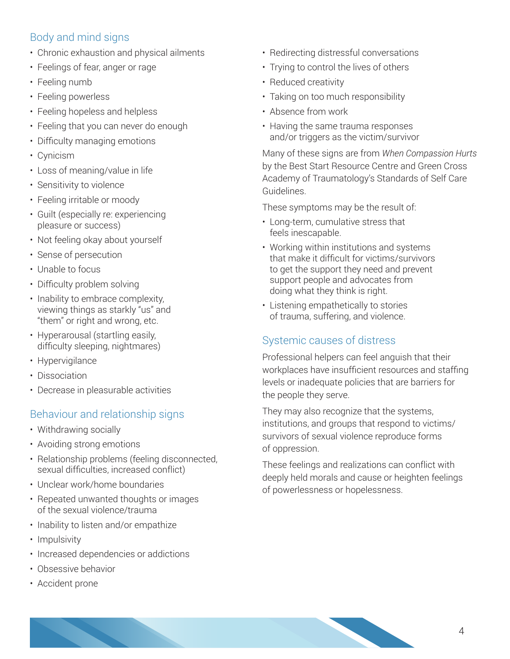### Body and mind signs

- Chronic exhaustion and physical ailments
- Feelings of fear, anger or rage
- Feeling numb
- Feeling powerless
- Feeling hopeless and helpless
- Feeling that you can never do enough
- Difficulty managing emotions
- Cynicism
- Loss of meaning/value in life
- Sensitivity to violence
- Feeling irritable or moody
- Guilt (especially re: experiencing pleasure or success)
- Not feeling okay about yourself
- Sense of persecution
- Unable to focus
- Difficulty problem solving
- Inability to embrace complexity, viewing things as starkly "us" and "them" or right and wrong, etc.
- Hyperarousal (startling easily, difficulty sleeping, nightmares)
- Hypervigilance
- Dissociation
- Decrease in pleasurable activities

### Behaviour and relationship signs

- Withdrawing socially
- Avoiding strong emotions
- Relationship problems (feeling disconnected, sexual difficulties, increased conflict)
- Unclear work/home boundaries
- Repeated unwanted thoughts or images of the sexual violence/trauma
- Inability to listen and/or empathize
- Impulsivity
- Increased dependencies or addictions
- Obsessive behavior
- Accident prone
- Redirecting distressful conversations
- Trying to control the lives of others
- Reduced creativity
- Taking on too much responsibility
- Absence from work
- Having the same trauma responses and/or triggers as the victim/survivor

Many of these signs are from *When Compassion Hurts* by the Best Start Resource Centre and Green Cross Academy of Traumatology's Standards of Self Care Guidelines.

These symptoms may be the result of:

- Long-term, cumulative stress that feels inescapable.
- Working within institutions and systems that make it difficult for victims/survivors to get the support they need and prevent support people and advocates from doing what they think is right.
- Listening empathetically to stories of trauma, suffering, and violence.

### Systemic causes of distress

Professional helpers can feel anguish that their workplaces have insufficient resources and staffing levels or inadequate policies that are barriers for the people they serve.

They may also recognize that the systems, institutions, and groups that respond to victims/ survivors of sexual violence reproduce forms of oppression.

These feelings and realizations can conflict with deeply held morals and cause or heighten feelings of powerlessness or hopelessness.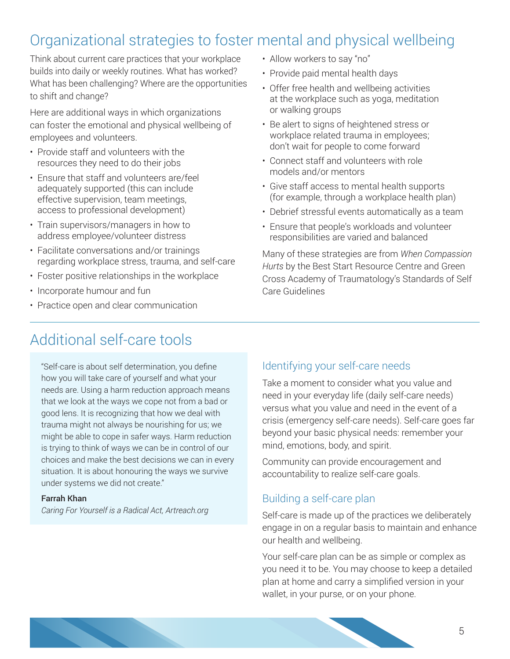# Organizational strategies to foster mental and physical wellbeing

Think about current care practices that your workplace builds into daily or weekly routines. What has worked? What has been challenging? Where are the opportunities to shift and change?

Here are additional ways in which organizations can foster the emotional and physical wellbeing of employees and volunteers.

- Provide staff and volunteers with the resources they need to do their jobs
- Ensure that staff and volunteers are/feel adequately supported (this can include effective supervision, team meetings, access to professional development)
- Train supervisors/managers in how to address employee/volunteer distress
- Facilitate conversations and/or trainings regarding workplace stress, trauma, and self-care
- Foster positive relationships in the workplace
- Incorporate humour and fun
- Practice open and clear communication
- Allow workers to say "no"
- Provide paid mental health days
- Offer free health and wellbeing activities at the workplace such as yoga, meditation or walking groups
- Be alert to signs of heightened stress or workplace related trauma in employees; don't wait for people to come forward
- Connect staff and volunteers with role models and/or mentors
- Give staff access to mental health supports (for example, through a workplace health plan)
- Debrief stressful events automatically as a team
- Ensure that people's workloads and volunteer responsibilities are varied and balanced

Many of these strategies are from *When Compassion Hurts* by the Best Start Resource Centre and Green Cross Academy of Traumatology's Standards of Self Care Guidelines

# Additional self-care tools

"Self-care is about self determination, you define how you will take care of yourself and what your needs are. Using a harm reduction approach means that we look at the ways we cope not from a bad or good lens. It is recognizing that how we deal with trauma might not always be nourishing for us; we might be able to cope in safer ways. Harm reduction is trying to think of ways we can be in control of our choices and make the best decisions we can in every situation. It is about honouring the ways we survive under systems we did not create."

#### Farrah Khan

*Caring For Yourself is a Radical Act, Artreach.org*

### Identifying your self-care needs

Take a moment to consider what you value and need in your everyday life (daily self-care needs) versus what you value and need in the event of a crisis (emergency self-care needs). Self-care goes far beyond your basic physical needs: remember your mind, emotions, body, and spirit.

Community can provide encouragement and accountability to realize self-care goals.

### Building a self-care plan

Self-care is made up of the practices we deliberately engage in on a regular basis to maintain and enhance our health and wellbeing.

Your self-care plan can be as simple or complex as you need it to be. You may choose to keep a detailed plan at home and carry a simplified version in your wallet, in your purse, or on your phone.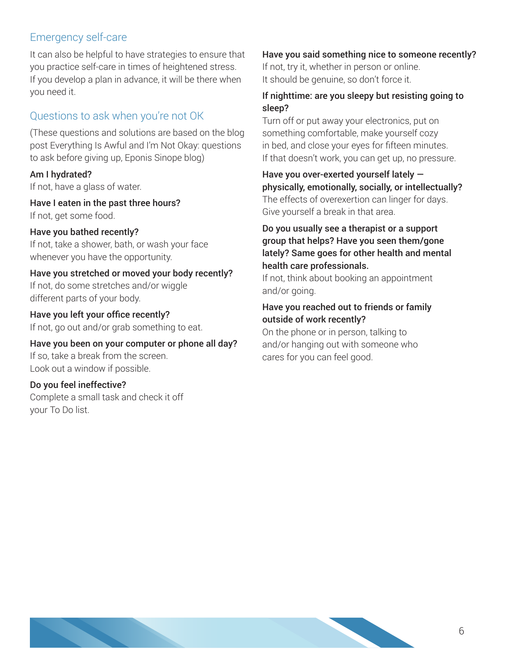### Emergency self-care

It can also be helpful to have strategies to ensure that you practice self-care in times of heightened stress. If you develop a plan in advance, it will be there when you need it.

### Questions to ask when you're not OK

(These questions and solutions are based on the blog post Everything Is Awful and I'm Not Okay: questions to ask before giving up, Eponis Sinope blog)

#### Am I hydrated?

If not, have a glass of water.

Have I eaten in the past three hours? If not, get some food.

#### Have you bathed recently?

If not, take a shower, bath, or wash your face whenever you have the opportunity.

#### Have you stretched or moved your body recently?

If not, do some stretches and/or wiggle different parts of your body.

Have you left your office recently? If not, go out and/or grab something to eat.

Have you been on your computer or phone all day? If so, take a break from the screen. Look out a window if possible.

#### Do you feel ineffective?

Complete a small task and check it off your To Do list.

#### Have you said something nice to someone recently?

If not, try it, whether in person or online. It should be genuine, so don't force it.

#### If nighttime: are you sleepy but resisting going to sleep?

Turn off or put away your electronics, put on something comfortable, make yourself cozy in bed, and close your eyes for fifteen minutes. If that doesn't work, you can get up, no pressure.

Have you over-exerted yourself lately physically, emotionally, socially, or intellectually? The effects of overexertion can linger for days. Give yourself a break in that area.

Do you usually see a therapist or a support group that helps? Have you seen them/gone lately? Same goes for other health and mental health care professionals.

If not, think about booking an appointment and/or going.

#### Have you reached out to friends or family outside of work recently?

On the phone or in person, talking to and/or hanging out with someone who cares for you can feel good.

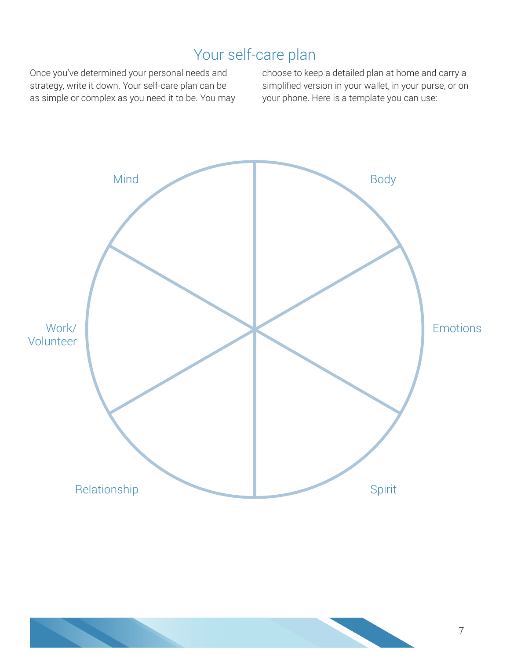# Your self-care plan

Once you've determined your personal needs and strategy, write it down. Your self-care plan can be as simple or complex as you need it to be. You may choose to keep a detailed plan at home and carry a simplified version in your wallet, in your purse, or on your phone. Here is a template you can use:



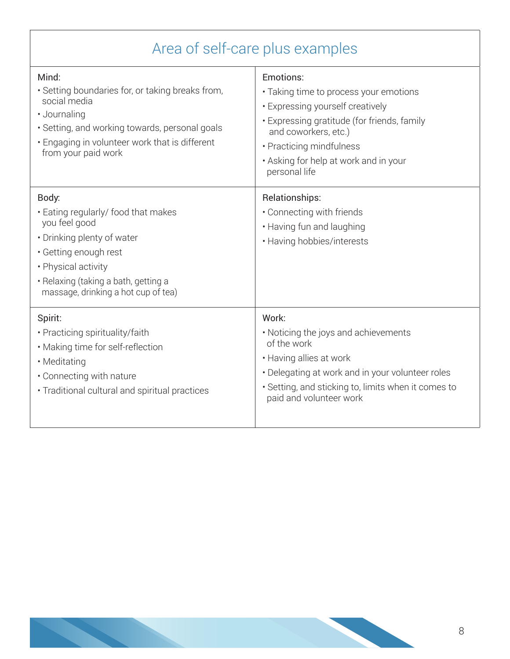| Area of self-care plus examples                                                                                                                                                                                            |                                                                                                                                                                                                                                                      |  |
|----------------------------------------------------------------------------------------------------------------------------------------------------------------------------------------------------------------------------|------------------------------------------------------------------------------------------------------------------------------------------------------------------------------------------------------------------------------------------------------|--|
| Mind:<br>· Setting boundaries for, or taking breaks from,<br>social media<br>· Journaling<br>• Setting, and working towards, personal goals<br>. Engaging in volunteer work that is different<br>from your paid work       | Emotions:<br>• Taking time to process your emotions<br>• Expressing yourself creatively<br>· Expressing gratitude (for friends, family<br>and coworkers, etc.)<br>• Practicing mindfulness<br>. Asking for help at work and in your<br>personal life |  |
| Body:<br>• Eating regularly/ food that makes<br>you feel good<br>• Drinking plenty of water<br>• Getting enough rest<br>• Physical activity<br>• Relaxing (taking a bath, getting a<br>massage, drinking a hot cup of tea) | Relationships:<br>• Connecting with friends<br>• Having fun and laughing<br>• Having hobbies/interests                                                                                                                                               |  |
| Spirit:<br>• Practicing spirituality/faith<br>• Making time for self-reflection<br>• Meditating<br>• Connecting with nature<br>• Traditional cultural and spiritual practices                                              | Work:<br>• Noticing the joys and achievements<br>of the work<br>• Having allies at work<br>• Delegating at work and in your volunteer roles<br>• Setting, and sticking to, limits when it comes to<br>paid and volunteer work                        |  |

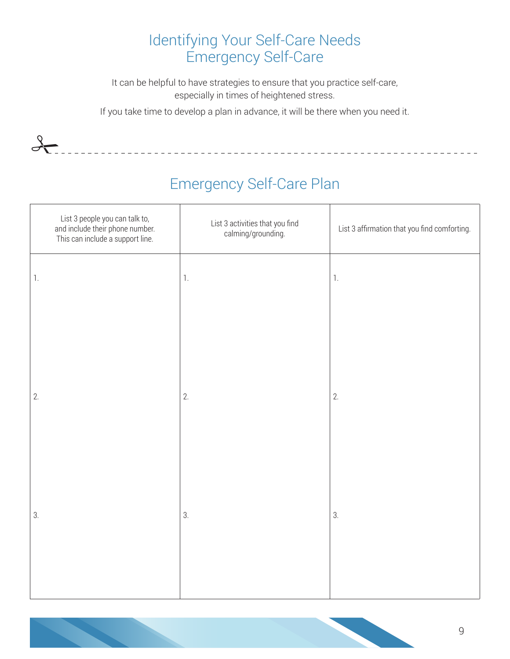# Identifying Your Self-Care Needs Emergency Self-Care

It can be helpful to have strategies to ensure that you practice self-care, especially in times of heightened stress.

If you take time to develop a plan in advance, it will be there when you need it.

 $\frac{1}{\sqrt{2}}$ 

# Emergency Self-Care Plan

<u>\_\_\_\_\_\_\_\_\_\_\_\_\_\_\_\_</u>

| List 3 people you can talk to,<br>and include their phone number.<br>This can include a support line. | List 3 activities that you find<br>calming/grounding. | List 3 affirmation that you find comforting. |
|-------------------------------------------------------------------------------------------------------|-------------------------------------------------------|----------------------------------------------|
| $1.$                                                                                                  | $\mathbb{1}.$                                         | $1.$                                         |
|                                                                                                       |                                                       |                                              |
| 2.                                                                                                    | 2.                                                    | 2.                                           |
|                                                                                                       |                                                       |                                              |
|                                                                                                       |                                                       |                                              |
| 3.                                                                                                    | 3.                                                    | 3.                                           |
|                                                                                                       |                                                       |                                              |